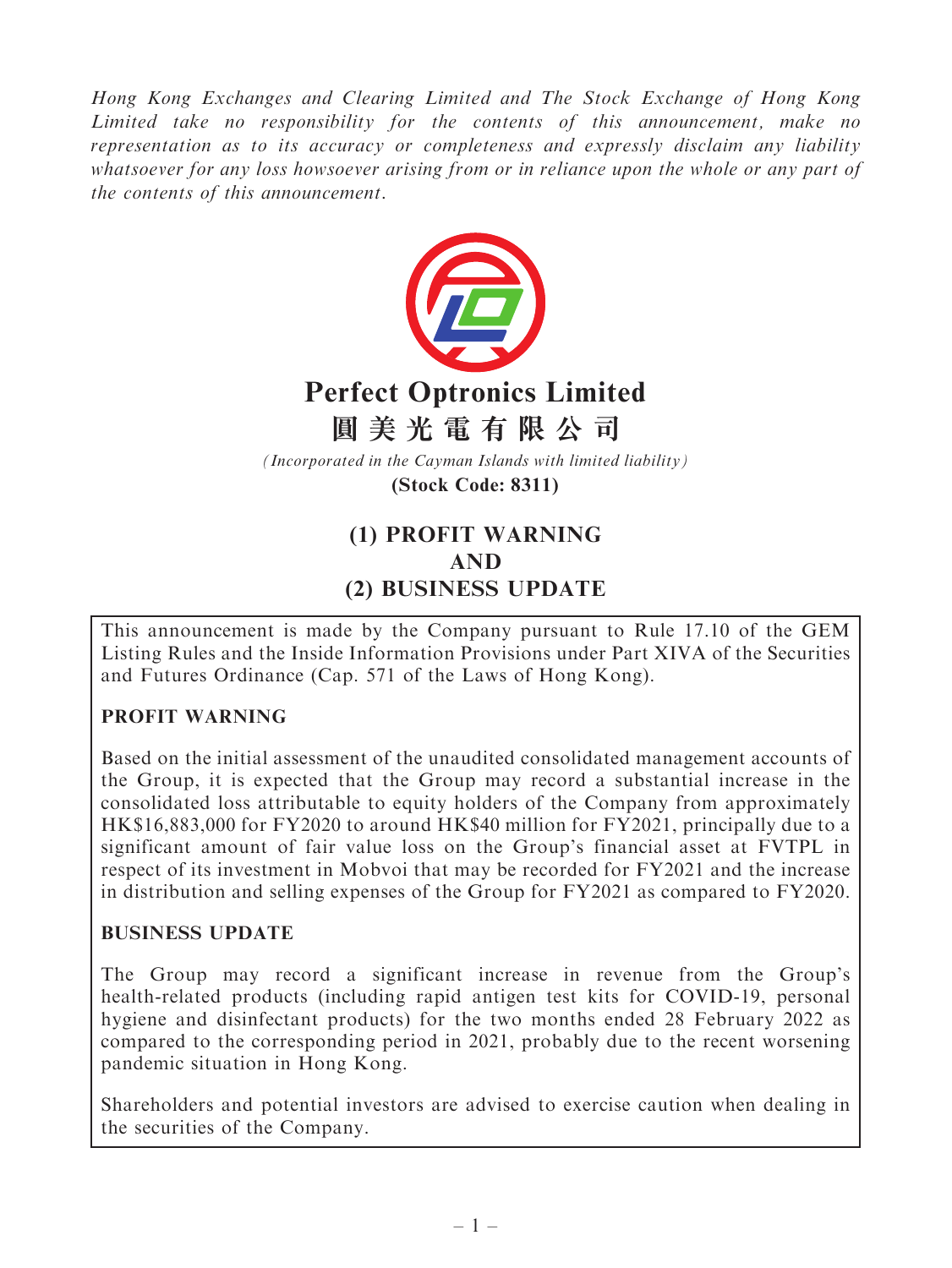Hong Kong Exchanges and Clearing Limited and The Stock Exchange of Hong Kong Limited take no responsibility for the contents of this announcement, make no representation as to its accuracy or completeness and expressly disclaim any liability whatsoever for any loss howsoever arising from or in reliance upon the whole or any part of the contents of this announcement.



# **Perfect Optronics Limited**

## **圓美光電有限公司**

*(Incorporated in the Cayman Islands with limited liability)*

**(Stock Code: 8311)**

### (1) PROFIT WARNING AND (2) BUSINESS UPDATE

This announcement is made by the Company pursuant to Rule 17.10 of the GEM Listing Rules and the Inside Information Provisions under Part XIVA of the Securities and Futures Ordinance (Cap. 571 of the Laws of Hong Kong).

#### PROFIT WARNING

Based on the initial assessment of the unaudited consolidated management accounts of the Group, it is expected that the Group may record a substantial increase in the consolidated loss attributable to equity holders of the Company from approximately HK\$16,883,000 for FY2020 to around HK\$40 million for FY2021, principally due to a significant amount of fair value loss on the Group's financial asset at FVTPL in respect of its investment in Mobvoi that may be recorded for FY2021 and the increase in distribution and selling expenses of the Group for FY2021 as compared to FY2020.

#### BUSINESS UPDATE

The Group may record a significant increase in revenue from the Group's health-related products (including rapid antigen test kits for COVID-19, personal hygiene and disinfectant products) for the two months ended 28 February 2022 as compared to the corresponding period in 2021, probably due to the recent worsening pandemic situation in Hong Kong.

Shareholders and potential investors are advised to exercise caution when dealing in the securities of the Company.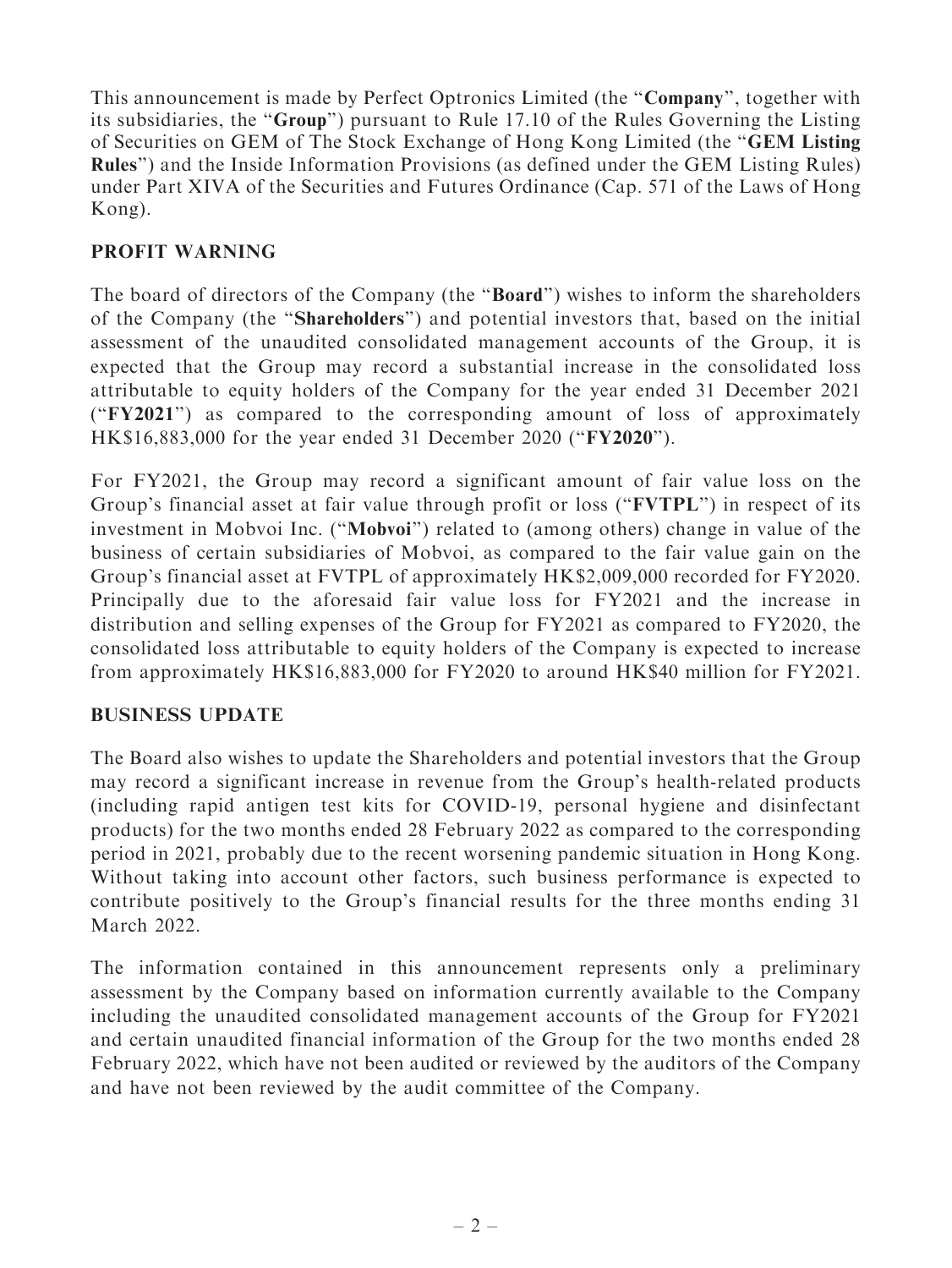This announcement is made by Perfect Optronics Limited (the "**Company**", together with its subsidiaries, the ''Group'') pursuant to Rule 17.10 of the Rules Governing the Listing of Securities on GEM of The Stock Exchange of Hong Kong Limited (the ''GEM Listing Rules'') and the Inside Information Provisions (as defined under the GEM Listing Rules) under Part XIVA of the Securities and Futures Ordinance (Cap. 571 of the Laws of Hong Kong).

#### PROFIT WARNING

The board of directors of the Company (the "**Board**") wishes to inform the shareholders of the Company (the ''Shareholders'') and potential investors that, based on the initial assessment of the unaudited consolidated management accounts of the Group, it is expected that the Group may record a substantial increase in the consolidated loss attributable to equity holders of the Company for the year ended 31 December 2021 (''FY2021'') as compared to the corresponding amount of loss of approximately HK\$16,883,000 for the year ended 31 December 2020 (''FY2020'').

For FY2021, the Group may record a significant amount of fair value loss on the Group's financial asset at fair value through profit or loss ("FVTPL") in respect of its investment in Mobvoi Inc. ("Mobvoi") related to (among others) change in value of the business of certain subsidiaries of Mobvoi, as compared to the fair value gain on the Group's financial asset at FVTPL of approximately HK\$2,009,000 recorded for FY2020. Principally due to the aforesaid fair value loss for FY2021 and the increase in distribution and selling expenses of the Group for FY2021 as compared to FY2020, the consolidated loss attributable to equity holders of the Company is expected to increase from approximately HK\$16,883,000 for FY2020 to around HK\$40 million for FY2021.

#### BUSINESS UPDATE

The Board also wishes to update the Shareholders and potential investors that the Group may record a significant increase in revenue from the Group's health-related products (including rapid antigen test kits for COVID-19, personal hygiene and disinfectant products) for the two months ended 28 February 2022 as compared to the corresponding period in 2021, probably due to the recent worsening pandemic situation in Hong Kong. Without taking into account other factors, such business performance is expected to contribute positively to the Group's financial results for the three months ending 31 March 2022.

The information contained in this announcement represents only a preliminary assessment by the Company based on information currently available to the Company including the unaudited consolidated management accounts of the Group for FY2021 and certain unaudited financial information of the Group for the two months ended 28 February 2022, which have not been audited or reviewed by the auditors of the Company and have not been reviewed by the audit committee of the Company.